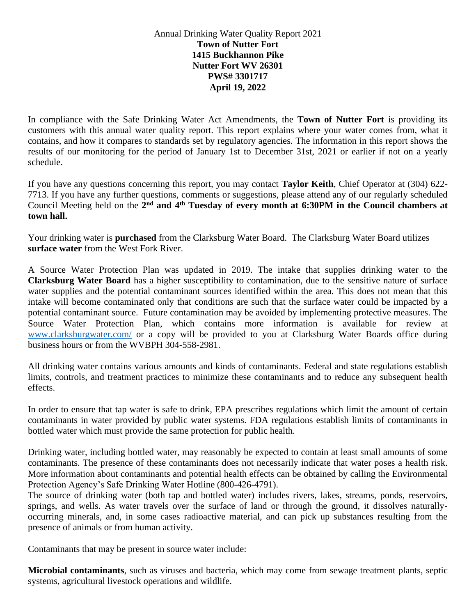Annual Drinking Water Quality Report 2021 **Town of Nutter Fort 1415 Buckhannon Pike Nutter Fort WV 26301 PWS# 3301717 April 19, 2022**

In compliance with the Safe Drinking Water Act Amendments, the **Town of Nutter Fort** is providing its customers with this annual water quality report. This report explains where your water comes from, what it contains, and how it compares to standards set by regulatory agencies. The information in this report shows the results of our monitoring for the period of January 1st to December 31st, 2021 or earlier if not on a yearly schedule.

If you have any questions concerning this report, you may contact **Taylor Keith**, Chief Operator at (304) 622- 7713. If you have any further questions, comments or suggestions, please attend any of our regularly scheduled Council Meeting held on the 2<sup>nd</sup> and 4<sup>th</sup> **Tuesday** of every month at 6:30PM in the Council chambers at **town hall.** 

Your drinking water is **purchased** from the Clarksburg Water Board. The Clarksburg Water Board utilizes **surface water** from the West Fork River.

A Source Water Protection Plan was updated in 2019. The intake that supplies drinking water to the **Clarksburg Water Board** has a higher susceptibility to contamination, due to the sensitive nature of surface water supplies and the potential contaminant sources identified within the area. This does not mean that this intake will become contaminated only that conditions are such that the surface water could be impacted by a potential contaminant source. Future contamination may be avoided by implementing protective measures. The Source Water Protection Plan, which contains more information is available for review at [www.clarksburgwater.com/](http://www.clarksburgwater.com/) or a copy will be provided to you at Clarksburg Water Boards office during business hours or from the WVBPH 304-558-2981.

All drinking water contains various amounts and kinds of contaminants. Federal and state regulations establish limits, controls, and treatment practices to minimize these contaminants and to reduce any subsequent health effects.

In order to ensure that tap water is safe to drink, EPA prescribes regulations which limit the amount of certain contaminants in water provided by public water systems. FDA regulations establish limits of contaminants in bottled water which must provide the same protection for public health.

Drinking water, including bottled water, may reasonably be expected to contain at least small amounts of some contaminants. The presence of these contaminants does not necessarily indicate that water poses a health risk. More information about contaminants and potential health effects can be obtained by calling the Environmental Protection Agency's Safe Drinking Water Hotline (800-426-4791).

The source of drinking water (both tap and bottled water) includes rivers, lakes, streams, ponds, reservoirs, springs, and wells. As water travels over the surface of land or through the ground, it dissolves naturallyoccurring minerals, and, in some cases radioactive material, and can pick up substances resulting from the presence of animals or from human activity.

Contaminants that may be present in source water include:

**Microbial contaminants**, such as viruses and bacteria, which may come from sewage treatment plants, septic systems, agricultural livestock operations and wildlife.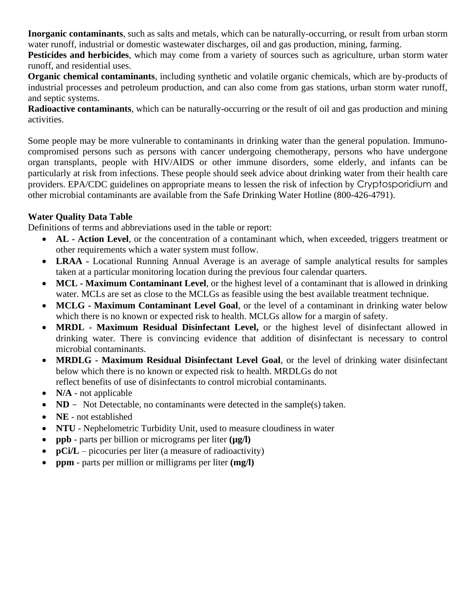**Inorganic contaminants**, such as salts and metals, which can be naturally-occurring, or result from urban storm water runoff, industrial or domestic wastewater discharges, oil and gas production, mining, farming.

**Pesticides and herbicides**, which may come from a variety of sources such as agriculture, urban storm water runoff, and residential uses.

**Organic chemical contaminants**, including synthetic and volatile organic chemicals, which are by-products of industrial processes and petroleum production, and can also come from gas stations, urban storm water runoff, and septic systems.

**Radioactive contaminants**, which can be naturally-occurring or the result of oil and gas production and mining activities.

Some people may be more vulnerable to contaminants in drinking water than the general population. Immunocompromised persons such as persons with cancer undergoing chemotherapy, persons who have undergone organ transplants, people with HIV/AIDS or other immune disorders, some elderly, and infants can be particularly at risk from infections. These people should seek advice about drinking water from their health care providers. EPA/CDC guidelines on appropriate means to lessen the risk of infection by Cryptosporidium and other microbial contaminants are available from the Safe Drinking Water Hotline (800-426-4791).

## **Water Quality Data Table**

Definitions of terms and abbreviations used in the table or report:

- **AL - Action Level**, or the concentration of a contaminant which, when exceeded, triggers treatment or other requirements which a water system must follow.
- **LRAA -** Locational Running Annual Average is an average of sample analytical results for samples taken at a particular monitoring location during the previous four calendar quarters.
- **MCL - Maximum Contaminant Level**, or the highest level of a contaminant that is allowed in drinking water. MCLs are set as close to the MCLGs as feasible using the best available treatment technique.
- **MCLG - Maximum Contaminant Level Goal**, or the level of a contaminant in drinking water below which there is no known or expected risk to health. MCLGs allow for a margin of safety.
- **MRDL - Maximum Residual Disinfectant Level,** or the highest level of disinfectant allowed in drinking water. There is convincing evidence that addition of disinfectant is necessary to control microbial contaminants.
- **MRDLG - Maximum Residual Disinfectant Level Goal**, or the level of drinking water disinfectant below which there is no known or expected risk to health. MRDLGs do not reflect benefits of use of disinfectants to control microbial contaminants.
- **N/A** not applicable
- **ND** Not Detectable, no contaminants were detected in the sample(s) taken.
- **NE**  not established
- **NTU** Nephelometric Turbidity Unit, used to measure cloudiness in water
- **ppb** parts per billion or micrograms per liter **(µg/l)**
- **pCi/L** picocuries per liter (a measure of radioactivity)
- **ppm**  parts per million or milligrams per liter **(mg/l)**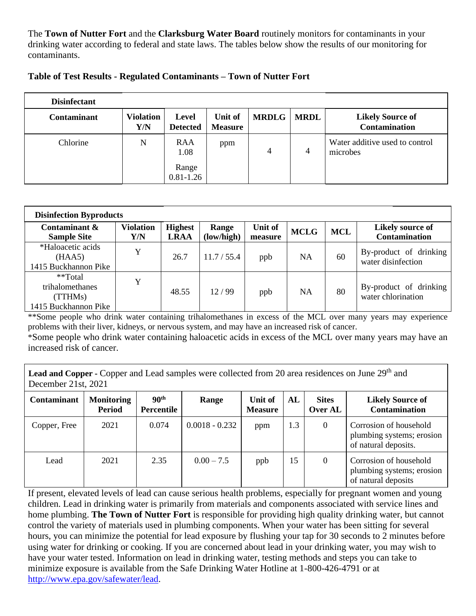The **Town of Nutter Fort** and the **Clarksburg Water Board** routinely monitors for contaminants in your drinking water according to federal and state laws. The tables below show the results of our monitoring for contaminants.

| <b>Disinfectant</b> |                         |                                 |                           |              |                |                                                 |
|---------------------|-------------------------|---------------------------------|---------------------------|--------------|----------------|-------------------------------------------------|
| <b>Contaminant</b>  | <b>Violation</b><br>Y/N | <b>Level</b><br><b>Detected</b> | Unit of<br><b>Measure</b> | <b>MRDLG</b> | <b>MRDL</b>    | <b>Likely Source of</b><br><b>Contamination</b> |
| Chlorine            | N                       | RAA<br>1.08                     | ppm                       | 4            | $\overline{4}$ | Water additive used to control<br>microbes      |
|                     |                         | Range<br>$0.81 - 1.26$          |                           |              |                |                                                 |

| <b>Disinfection Byproducts</b>                                |                         |                               |                     |                           |             |            |                                              |
|---------------------------------------------------------------|-------------------------|-------------------------------|---------------------|---------------------------|-------------|------------|----------------------------------------------|
| Contaminant &<br><b>Sample Site</b>                           | <b>Violation</b><br>Y/N | <b>Highest</b><br><b>LRAA</b> | Range<br>(low/high) | <b>Unit of</b><br>measure | <b>MCLG</b> | <b>MCL</b> | Likely source of<br><b>Contamination</b>     |
| *Haloacetic acids<br>(HAA5)<br>1415 Buckhannon Pike           | Y                       | 26.7                          | 11.7 / 55.4         | ppb                       | NA          | 60         | By-product of drinking<br>water disinfection |
| **Total<br>trihalomethanes<br>(TTHMs)<br>1415 Buckhannon Pike | Y                       | 48.55                         | 12/99               | ppb                       | NA          | 80         | By-product of drinking<br>water chlorination |

\*\*Some people who drink water containing trihalomethanes in excess of the MCL over many years may experience problems with their liver, kidneys, or nervous system, and may have an increased risk of cancer.

\*Some people who drink water containing haloacetic acids in excess of the MCL over many years may have an increased risk of cancer.

**Lead and Copper -** Copper and Lead samples were collected from 20 area residences on June 29<sup>th</sup> and December 21st, 2021

| <b>Contaminant</b> | <b>Monitoring</b><br><b>Period</b> | 90 <sup>th</sup><br>Percentile | Range            | Unit of<br><b>Measure</b> | AL  | <b>Sites</b><br>Over AL | <b>Likely Source of</b><br><b>Contamination</b>                             |
|--------------------|------------------------------------|--------------------------------|------------------|---------------------------|-----|-------------------------|-----------------------------------------------------------------------------|
| Copper, Free       | 2021                               | 0.074                          | $0.0018 - 0.232$ | ppm                       | 1.3 | $\theta$                | Corrosion of household<br>plumbing systems; erosion<br>of natural deposits. |
| Lead               | 2021                               | 2.35                           | $0.00 - 7.5$     | ppb                       | 15  | $\theta$                | Corrosion of household<br>plumbing systems; erosion<br>of natural deposits  |

If present, elevated levels of lead can cause serious health problems, especially for pregnant women and young children. Lead in drinking water is primarily from materials and components associated with service lines and home plumbing. **The Town of Nutter Fort** is responsible for providing high quality drinking water, but cannot control the variety of materials used in plumbing components. When your water has been sitting for several hours, you can minimize the potential for lead exposure by flushing your tap for 30 seconds to 2 minutes before using water for drinking or cooking. If you are concerned about lead in your drinking water, you may wish to have your water tested. Information on lead in drinking water, testing methods and steps you can take to minimize exposure is available from the Safe Drinking Water Hotline at 1-800-426-4791 or at [http://www.epa.gov/safewater/lead.](http://www.epa.gov/safewater/lead)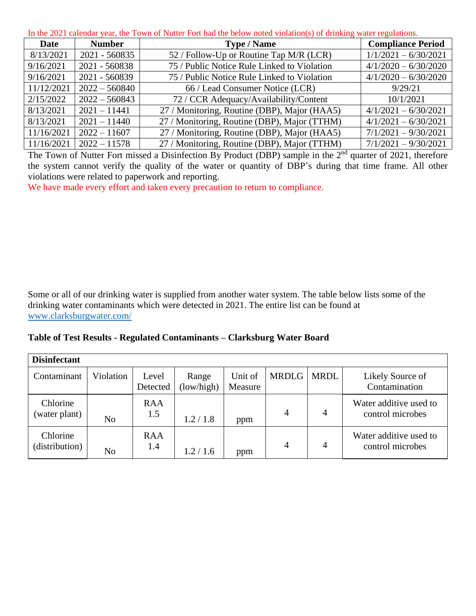In the 2021 calendar year, the Town of Nutter Fort had the below noted violation(s) of drinking water regulations.

| <b>Date</b> | <b>Number</b>   | <b>Type / Name</b>                           | <b>Compliance Period</b> |
|-------------|-----------------|----------------------------------------------|--------------------------|
| 8/13/2021   | 2021 - 560835   | 52 / Follow-Up or Routine Tap M/R (LCR)      | $1/1/2021 - 6/30/2021$   |
| 9/16/2021   | 2021 - 560838   | 75 / Public Notice Rule Linked to Violation  | $4/1/2020 - 6/30/2020$   |
| 9/16/2021   | 2021 - 560839   | 75 / Public Notice Rule Linked to Violation  | $4/1/2020 - 6/30/2020$   |
| 11/12/2021  | $2022 - 560840$ | 66 / Lead Consumer Notice (LCR)              | 9/29/21                  |
| 2/15/2022   | $2022 - 560843$ | 72 / CCR Adequacy/Availability/Content       | 10/1/2021                |
| 8/13/2021   | $2021 - 11441$  | 27 / Monitoring, Routine (DBP), Major (HAA5) | $4/1/2021 - 6/30/2021$   |
| 8/13/2021   | $2021 - 11440$  | 27 / Monitoring, Routine (DBP), Major (TTHM) | $4/1/2021 - 6/30/2021$   |
| 11/16/2021  | $2022 - 11607$  | 27 / Monitoring, Routine (DBP), Major (HAA5) | $7/1/2021 - 9/30/2021$   |
| 11/16/2021  | $2022 - 11578$  | 27 / Monitoring, Routine (DBP), Major (TTHM) | $7/1/2021 - 9/30/2021$   |

The Town of Nutter Fort missed a Disinfection By Product (DBP) sample in the 2<sup>nd</sup> quarter of 2021, therefore the system cannot verify the quality of the water or quantity of DBP's during that time frame. All other violations were related to paperwork and reporting.

We have made every effort and taken every precaution to return to compliance.

Some or all of our drinking water is supplied from another water system. The table below lists some of the drinking water contaminants which were detected in 2021. The entire list can be found at [www.clarksburgwater.com/](http://www.clarksburgwater.com/)

**Table of Test Results - Regulated Contaminants** *–* **Clarksburg Water Board**

| <b>Disinfectant</b>        |                |                   |                     |                    |                |                |                                            |
|----------------------------|----------------|-------------------|---------------------|--------------------|----------------|----------------|--------------------------------------------|
| Contaminant                | Violation      | Level<br>Detected | Range<br>(low/high) | Unit of<br>Measure | <b>MRDLG</b>   | <b>MRDL</b>    | Likely Source of<br>Contamination          |
| Chlorine<br>(water plant)  | N <sub>o</sub> | <b>RAA</b><br>1.5 | 1.2 / 1.8           | ppm                | $\overline{4}$ | 4              | Water additive used to<br>control microbes |
| Chlorine<br>(distribution) | No             | <b>RAA</b><br>1.4 | 1.2/1.6             | ppm                | 4              | $\overline{4}$ | Water additive used to<br>control microbes |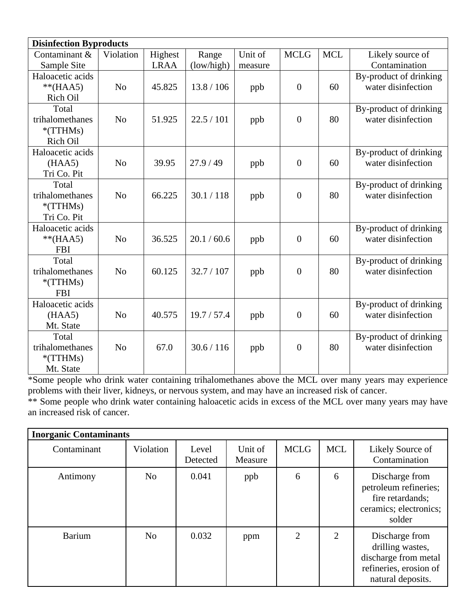| <b>Disinfection Byproducts</b> |                |             |             |         |                |            |                        |
|--------------------------------|----------------|-------------|-------------|---------|----------------|------------|------------------------|
| Contaminant &                  | Violation      | Highest     | Range       | Unit of | <b>MCLG</b>    | <b>MCL</b> | Likely source of       |
| Sample Site                    |                | <b>LRAA</b> | (low/high)  | measure |                |            | Contamination          |
| Haloacetic acids               |                |             |             |         |                |            | By-product of drinking |
| $**(HAA5)$                     | N <sub>o</sub> | 45.825      | 13.8 / 106  | ppb     | $\mathbf{0}$   | 60         | water disinfection     |
| Rich Oil                       |                |             |             |         |                |            |                        |
| Total                          |                |             |             |         |                |            | By-product of drinking |
| trihalomethanes                | N <sub>o</sub> | 51.925      | 22.5/101    | ppb     | $\mathbf{0}$   | 80         | water disinfection     |
| $*$ (TTHMs)                    |                |             |             |         |                |            |                        |
| Rich Oil                       |                |             |             |         |                |            |                        |
| Haloacetic acids               |                |             |             |         |                |            | By-product of drinking |
| (HAA5)                         | N <sub>o</sub> | 39.95       | 27.9/49     | ppb     | $\mathbf{0}$   | 60         | water disinfection     |
| Tri Co. Pit                    |                |             |             |         |                |            |                        |
| Total                          |                |             |             |         |                |            | By-product of drinking |
| trihalomethanes                | N <sub>o</sub> | 66.225      | 30.1 / 118  | ppb     | $\mathbf{0}$   | 80         | water disinfection     |
| $*$ (TTHMs)                    |                |             |             |         |                |            |                        |
| Tri Co. Pit                    |                |             |             |         |                |            |                        |
| Haloacetic acids               |                |             |             |         |                |            | By-product of drinking |
| $**(HAA5)$                     | N <sub>o</sub> | 36.525      | 20.1 / 60.6 | ppb     | $\overline{0}$ | 60         | water disinfection     |
| <b>FBI</b>                     |                |             |             |         |                |            |                        |
| Total                          |                |             |             |         |                |            | By-product of drinking |
| trihalomethanes                | N <sub>o</sub> | 60.125      | 32.7 / 107  | ppb     | $\overline{0}$ | 80         | water disinfection     |
| $*$ (TTHMs)                    |                |             |             |         |                |            |                        |
| <b>FBI</b>                     |                |             |             |         |                |            |                        |
| Haloacetic acids               |                |             |             |         |                |            | By-product of drinking |
| (HAA5)                         | N <sub>o</sub> | 40.575      | 19.7 / 57.4 | ppb     | $\mathbf{0}$   | 60         | water disinfection     |
| Mt. State                      |                |             |             |         |                |            |                        |
| Total                          |                |             |             |         |                |            | By-product of drinking |
| trihalomethanes                | N <sub>o</sub> | 67.0        | 30.6 / 116  | ppb     | $\overline{0}$ | 80         | water disinfection     |
| $*(TTHMs)$                     |                |             |             |         |                |            |                        |
| Mt. State                      |                |             |             |         |                |            |                        |

\*Some people who drink water containing trihalomethanes above the MCL over many years may experience problems with their liver, kidneys, or nervous system, and may have an increased risk of cancer.

\*\* Some people who drink water containing haloacetic acids in excess of the MCL over many years may have an increased risk of cancer.

| <b>Inorganic Contaminants</b> |                |                   |                    |             |                |                                                                                                           |  |  |  |
|-------------------------------|----------------|-------------------|--------------------|-------------|----------------|-----------------------------------------------------------------------------------------------------------|--|--|--|
| Contaminant                   | Violation      | Level<br>Detected | Unit of<br>Measure | <b>MCLG</b> | <b>MCL</b>     | Likely Source of<br>Contamination                                                                         |  |  |  |
| Antimony                      | No             | 0.041             | ppb                | 6           | 6              | Discharge from<br>petroleum refineries;<br>fire retardands;<br>ceramics; electronics;<br>solder           |  |  |  |
| <b>Barium</b>                 | N <sub>o</sub> | 0.032             | ppm                | 2           | $\overline{2}$ | Discharge from<br>drilling wastes,<br>discharge from metal<br>refineries, erosion of<br>natural deposits. |  |  |  |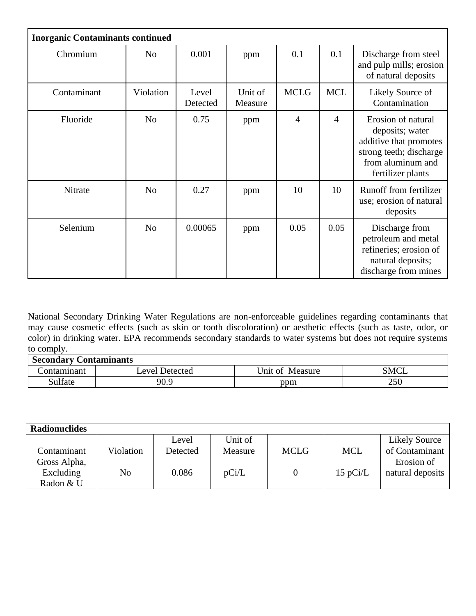| <b>Inorganic Contaminants continued</b> |                |                   |                    |             |                |                                                                                                                                      |  |  |  |
|-----------------------------------------|----------------|-------------------|--------------------|-------------|----------------|--------------------------------------------------------------------------------------------------------------------------------------|--|--|--|
| Chromium                                | N <sub>o</sub> | 0.001             | ppm                | 0.1         | 0.1            | Discharge from steel<br>and pulp mills; erosion<br>of natural deposits                                                               |  |  |  |
| Contaminant                             | Violation      | Level<br>Detected | Unit of<br>Measure | <b>MCLG</b> | <b>MCL</b>     | Likely Source of<br>Contamination                                                                                                    |  |  |  |
| Fluoride                                | N <sub>o</sub> | 0.75              | ppm                | 4           | $\overline{4}$ | Erosion of natural<br>deposits; water<br>additive that promotes<br>strong teeth; discharge<br>from aluminum and<br>fertilizer plants |  |  |  |
| Nitrate                                 | N <sub>o</sub> | 0.27              | ppm                | 10          | 10             | Runoff from fertilizer<br>use; erosion of natural<br>deposits                                                                        |  |  |  |
| Selenium                                | N <sub>o</sub> | 0.00065           | ppm                | 0.05        | 0.05           | Discharge from<br>petroleum and metal<br>refineries; erosion of<br>natural deposits;<br>discharge from mines                         |  |  |  |

National Secondary Drinking Water Regulations are non-enforceable guidelines regarding contaminants that may cause cosmetic effects (such as skin or tooth discoloration) or aesthetic effects (such as taste, odor, or color) in drinking water. EPA recommends secondary standards to water systems but does not require systems to comply.

| <b>Secondary Contaminants</b> |                |                    |             |  |  |  |  |  |
|-------------------------------|----------------|--------------------|-------------|--|--|--|--|--|
| .`ontamınant                  | Level Detected | Unit of<br>Measure | <b>SMCL</b> |  |  |  |  |  |
| Sulfate                       | 90.9           | ppm                | 250         |  |  |  |  |  |

| <b>Radionuclides</b> |           |          |         |             |            |                      |
|----------------------|-----------|----------|---------|-------------|------------|----------------------|
|                      |           | Level    | Unit of |             |            | <b>Likely Source</b> |
| Contaminant          | Violation | Detected | Measure | <b>MCLG</b> | <b>MCL</b> | of Contaminant       |
| Gross Alpha,         |           |          |         |             |            | Erosion of           |
| Excluding            | No        | 0.086    | pCi/L   |             | $15$ pCi/L | natural deposits     |
| Radon & U            |           |          |         |             |            |                      |